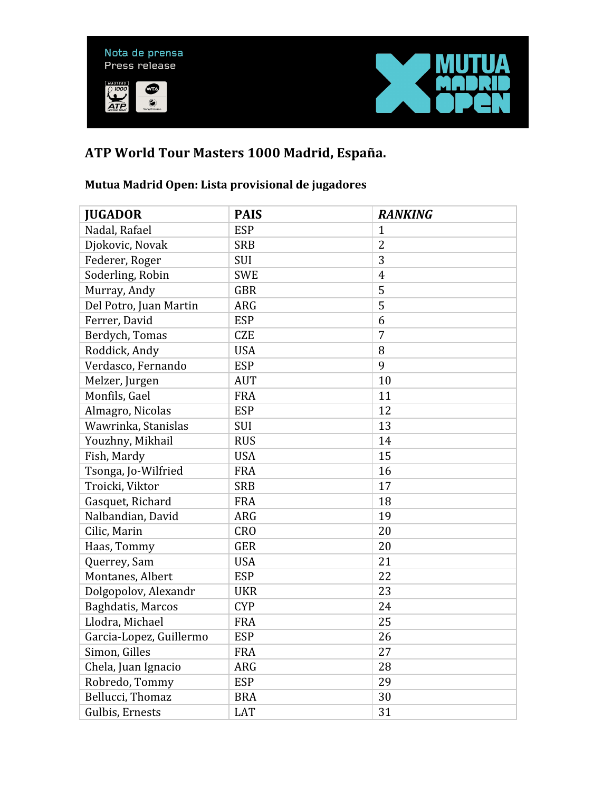

## **ATP World Tour Masters 1000 Madrid, España.**

## **Mutua Madrid Open: Lista provisional de jugadores**

| <b>JUGADOR</b>          | <b>PAIS</b> | <b>RANKING</b> |
|-------------------------|-------------|----------------|
| Nadal, Rafael           | <b>ESP</b>  | $\mathbf{1}$   |
| Djokovic, Novak         | <b>SRB</b>  | $\overline{2}$ |
| Federer, Roger          | <b>SUI</b>  | 3              |
| Soderling, Robin        | <b>SWE</b>  | $\overline{4}$ |
| Murray, Andy            | <b>GBR</b>  | 5              |
| Del Potro, Juan Martin  | <b>ARG</b>  | 5              |
| Ferrer, David           | <b>ESP</b>  | 6              |
| Berdych, Tomas          | <b>CZE</b>  | 7              |
| Roddick, Andy           | <b>USA</b>  | 8              |
| Verdasco, Fernando      | <b>ESP</b>  | 9              |
| Melzer, Jurgen          | <b>AUT</b>  | 10             |
| Monfils, Gael           | <b>FRA</b>  | 11             |
| Almagro, Nicolas        | <b>ESP</b>  | 12             |
| Wawrinka, Stanislas     | <b>SUI</b>  | 13             |
| Youzhny, Mikhail        | <b>RUS</b>  | 14             |
| Fish, Mardy             | <b>USA</b>  | 15             |
| Tsonga, Jo-Wilfried     | <b>FRA</b>  | 16             |
| Troicki, Viktor         | <b>SRB</b>  | 17             |
| Gasquet, Richard        | <b>FRA</b>  | 18             |
| Nalbandian, David       | <b>ARG</b>  | 19             |
| Cilic, Marin            | <b>CRO</b>  | 20             |
| Haas, Tommy             | <b>GER</b>  | 20             |
| Querrey, Sam            | <b>USA</b>  | 21             |
| Montanes, Albert        | <b>ESP</b>  | 22             |
| Dolgopolov, Alexandr    | <b>UKR</b>  | 23             |
| Baghdatis, Marcos       | <b>CYP</b>  | 24             |
| Llodra, Michael         | <b>FRA</b>  | 25             |
| Garcia-Lopez, Guillermo | <b>ESP</b>  | 26             |
| Simon, Gilles           | <b>FRA</b>  | 27             |
| Chela, Juan Ignacio     | <b>ARG</b>  | 28             |
| Robredo, Tommy          | <b>ESP</b>  | 29             |
| Bellucci, Thomaz        | <b>BRA</b>  | 30             |
| Gulbis, Ernests         | <b>LAT</b>  | 31             |